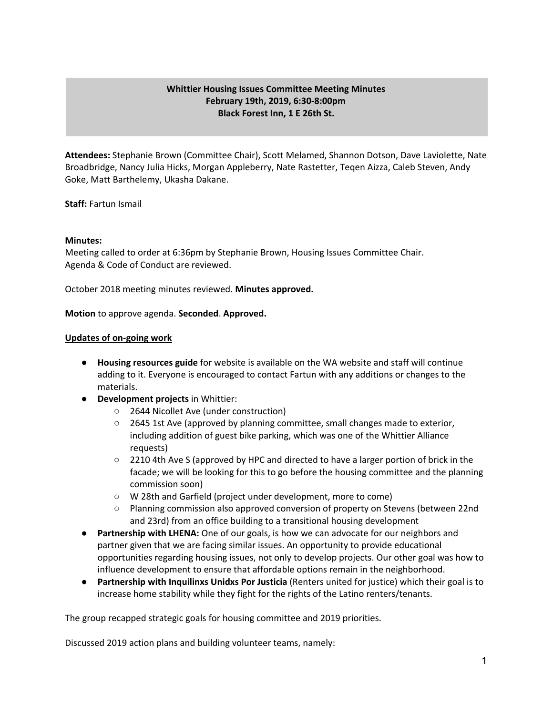## **Whittier Housing Issues Committee Meeting Minutes February 19th, 2019, 6:30-8:00pm Black Forest Inn, 1 E 26th St.**

**Attendees:** Stephanie Brown (Committee Chair), Scott Melamed, Shannon Dotson, Dave Laviolette, Nate Broadbridge, Nancy Julia Hicks, Morgan Appleberry, Nate Rastetter, Teqen Aizza, Caleb Steven, Andy Goke, Matt Barthelemy, Ukasha Dakane.

**Staff:** Fartun Ismail

## **Minutes:**

Meeting called to order at 6:36pm by Stephanie Brown, Housing Issues Committee Chair. Agenda & Code of Conduct are reviewed.

October 2018 meeting minutes reviewed. **Minutes approved.**

**Motion** to approve agenda. **Seconded**. **Approved.**

## **Updates of on-going work**

- **Housing resources guide** for website is available on the WA website and staff will continue adding to it. Everyone is encouraged to contact Fartun with any additions or changes to the materials.
- **Development projects** in Whittier:
	- 2644 Nicollet Ave (under construction)
	- 2645 1st Ave (approved by planning committee, small changes made to exterior, including addition of guest bike parking, which was one of the Whittier Alliance requests)
	- 2210 4th Ave S (approved by HPC and directed to have a larger portion of brick in the facade; we will be looking for this to go before the housing committee and the planning commission soon)
	- W 28th and Garfield (project under development, more to come)
	- Planning commission also approved conversion of property on Stevens (between 22nd and 23rd) from an office building to a transitional housing development
- **Partnership with LHENA:** One of our goals, is how we can advocate for our neighbors and partner given that we are facing similar issues. An opportunity to provide educational opportunities regarding housing issues, not only to develop projects. Our other goal was how to influence development to ensure that affordable options remain in the neighborhood.
- **Partnership with Inquilinxs Unidxs Por Justicia** (Renters united for justice) which their goal is to increase home stability while they fight for the rights of the Latino renters/tenants.

The group recapped strategic goals for housing committee and 2019 priorities.

Discussed 2019 action plans and building volunteer teams, namely: